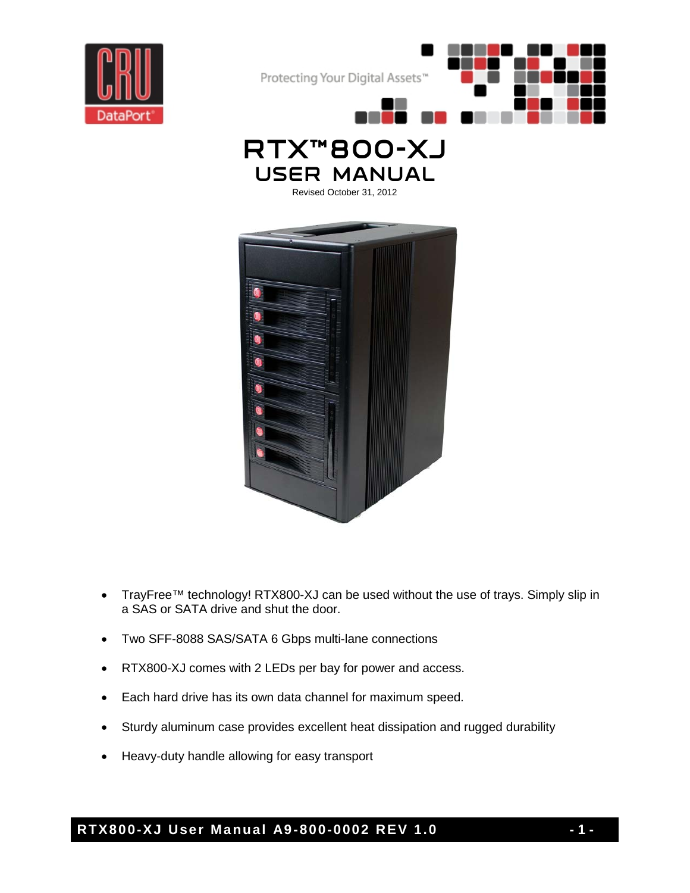







- TrayFree™ technology! RTX800-XJ can be used without the use of trays. Simply slip in a SAS or SATA drive and shut the door.
- Two SFF-8088 SAS/SATA 6 Gbps multi-lane connections
- RTX800-XJ comes with 2 LEDs per bay for power and access.
- Each hard drive has its own data channel for maximum speed.
- Sturdy aluminum case provides excellent heat dissipation and rugged durability
- Heavy-duty handle allowing for easy transport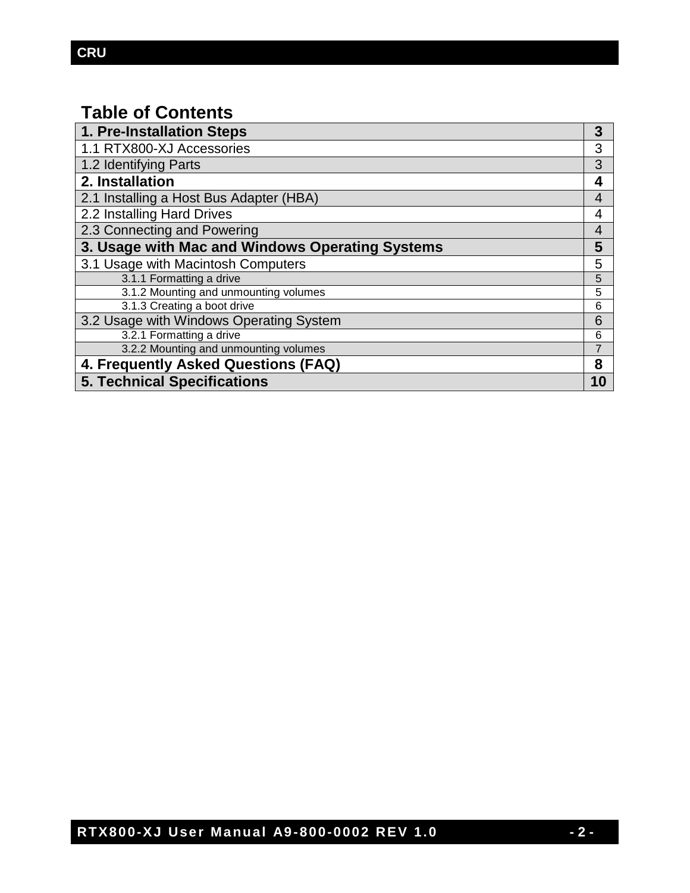# **Table of Contents**

| 1. Pre-Installation Steps                       | 3              |
|-------------------------------------------------|----------------|
| 1.1 RTX800-XJ Accessories                       | 3              |
| 1.2 Identifying Parts                           | 3              |
| 2. Installation                                 | 4              |
| 2.1 Installing a Host Bus Adapter (HBA)         | 4              |
| 2.2 Installing Hard Drives                      | 4              |
| 2.3 Connecting and Powering                     | 4              |
| 3. Usage with Mac and Windows Operating Systems |                |
| 3.1 Usage with Macintosh Computers              | 5              |
| 3.1.1 Formatting a drive                        | 5              |
| 3.1.2 Mounting and unmounting volumes           | 5              |
| 3.1.3 Creating a boot drive                     | 6              |
| 3.2 Usage with Windows Operating System         | 6              |
| 3.2.1 Formatting a drive                        | 6              |
| 3.2.2 Mounting and unmounting volumes           | $\overline{7}$ |
| 4. Frequently Asked Questions (FAQ)             |                |
| <b>5. Technical Specifications</b>              |                |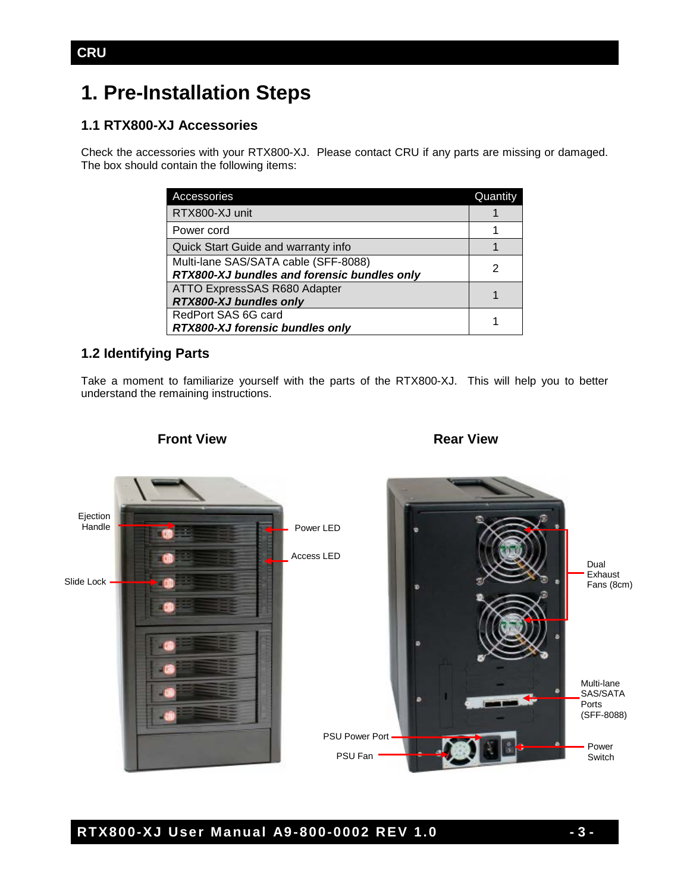# **1. Pre-Installation Steps**

### **1.1 RTX800-XJ Accessories**

Check the accessories with your RTX800-XJ. Please contact CRU if any parts are missing or damaged. The box should contain the following items:

| Accessories                                 | Quantity |
|---------------------------------------------|----------|
| RTX800-XJ unit                              |          |
| Power cord                                  |          |
| Quick Start Guide and warranty info         |          |
| Multi-lane SAS/SATA cable (SFF-8088)        |          |
| RTX800-XJ bundles and forensic bundles only |          |
| ATTO ExpressSAS R680 Adapter                |          |
| RTX800-XJ bundles only                      |          |
| RedPort SAS 6G card                         |          |
| RTX800-XJ forensic bundles only             |          |

### **1.2 Identifying Parts**

Take a moment to familiarize yourself with the parts of the RTX800-XJ. This will help you to better understand the remaining instructions.



# **Front View <b>Rear View** Rear View

# **RTX800-XJ User Manual A9-800-0002 REV 1.0 - 3 -**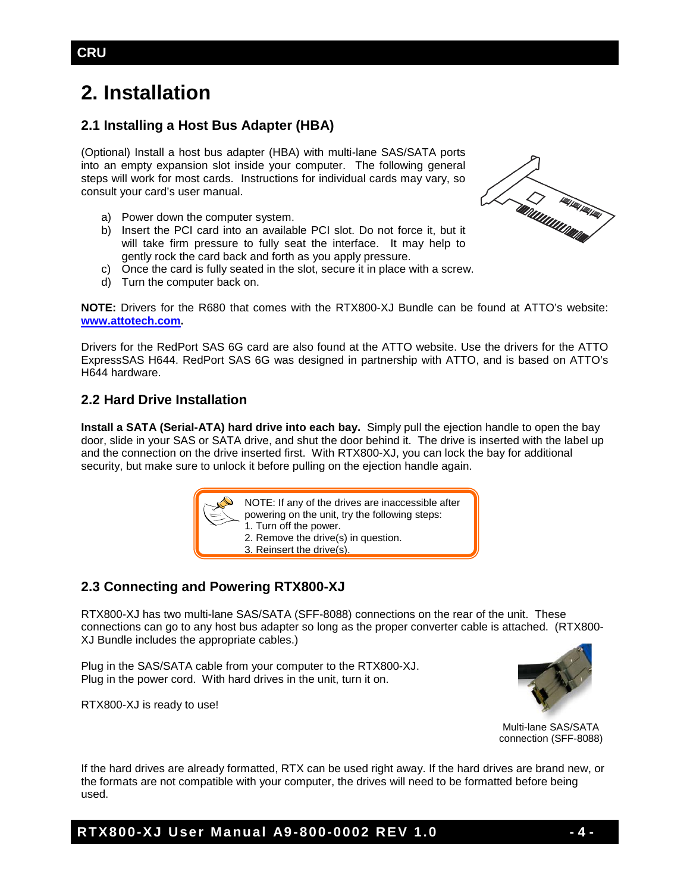# **2. Installation**

## **2.1 Installing a Host Bus Adapter (HBA)**

(Optional) Install a host bus adapter (HBA) with multi-lane SAS/SATA ports into an empty expansion slot inside your computer. The following general steps will work for most cards. Instructions for individual cards may vary, so consult your card's user manual.

- a) Power down the computer system.
- b) Insert the PCI card into an available PCI slot. Do not force it, but it will take firm pressure to fully seat the interface. It may help to gently rock the card back and forth as you apply pressure.



- c) Once the card is fully seated in the slot, secure it in place with a screw.
- d) Turn the computer back on.

**NOTE:** Drivers for the R680 that comes with the RTX800-XJ Bundle can be found at ATTO's website: **[www.attotech.com.](http://www.attotech.com/)** 

Drivers for the RedPort SAS 6G card are also found at the ATTO website. Use the drivers for the ATTO ExpressSAS H644. RedPort SAS 6G was designed in partnership with ATTO, and is based on ATTO's H644 hardware.

#### **2.2 Hard Drive Installation**

**Install a SATA (Serial-ATA) hard drive into each bay.** Simply pull the ejection handle to open the bay door, slide in your SAS or SATA drive, and shut the door behind it. The drive is inserted with the label up and the connection on the drive inserted first. With RTX800-XJ, you can lock the bay for additional security, but make sure to unlock it before pulling on the ejection handle again.

| NOTE: If any of the drives are inaccessible after<br>powering on the unit, try the following steps:<br>1. Turn off the power.<br>2. Remove the drive(s) in question.<br>3. Reinsert the drive(s). |
|---------------------------------------------------------------------------------------------------------------------------------------------------------------------------------------------------|
|---------------------------------------------------------------------------------------------------------------------------------------------------------------------------------------------------|

#### **2.3 Connecting and Powering RTX800-XJ**

RTX800-XJ has two multi-lane SAS/SATA (SFF-8088) connections on the rear of the unit. These connections can go to any host bus adapter so long as the proper converter cable is attached. (RTX800- XJ Bundle includes the appropriate cables.)

Plug in the SAS/SATA cable from your computer to the RTX800-XJ. Plug in the power cord. With hard drives in the unit, turn it on.



RTX800-XJ is ready to use!

Multi-lane SAS/SATA connection (SFF-8088)

If the hard drives are already formatted, RTX can be used right away. If the hard drives are brand new, or the formats are not compatible with your computer, the drives will need to be formatted before being used.

**RTX800-XJ User Manual A9-800-0002 REV 1.0 - 4 -**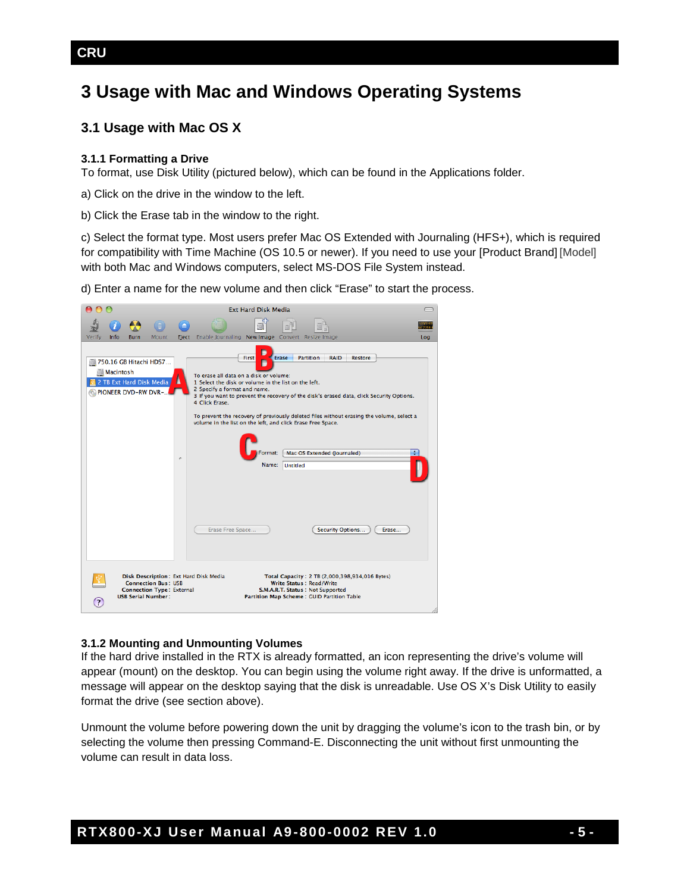# **3 Usage with Mac and Windows Operating Systems**

### **3.1 Usage with Mac OS X**

#### **3.1.1 Formatting a Drive**

To format, use Disk Utility (pictured below), which can be found in the Applications folder.

a) Click on the drive in the window to the left.

b) Click the Erase tab in the window to the right.

c) Select the format type. Most users prefer Mac OS Extended with Journaling (HFS+), which is required for compatibility with Time Machine (OS 10.5 or newer). If you need to use your [Product Brand] [Model] with both Mac and Windows computers, select MS-DOS File System instead.

d) Enter a name for the new volume and then click "Erase" to start the process.



#### **3.1.2 Mounting and Unmounting Volumes**

If the hard drive installed in the RTX is already formatted, an icon representing the drive's volume will appear (mount) on the desktop. You can begin using the volume right away. If the drive is unformatted, a message will appear on the desktop saying that the disk is unreadable. Use OS X's Disk Utility to easily format the drive (see section above).

Unmount the volume before powering down the unit by dragging the volume's icon to the trash bin, or by selecting the volume then pressing Command-E. Disconnecting the unit without first unmounting the volume can result in data loss.

### **CRU**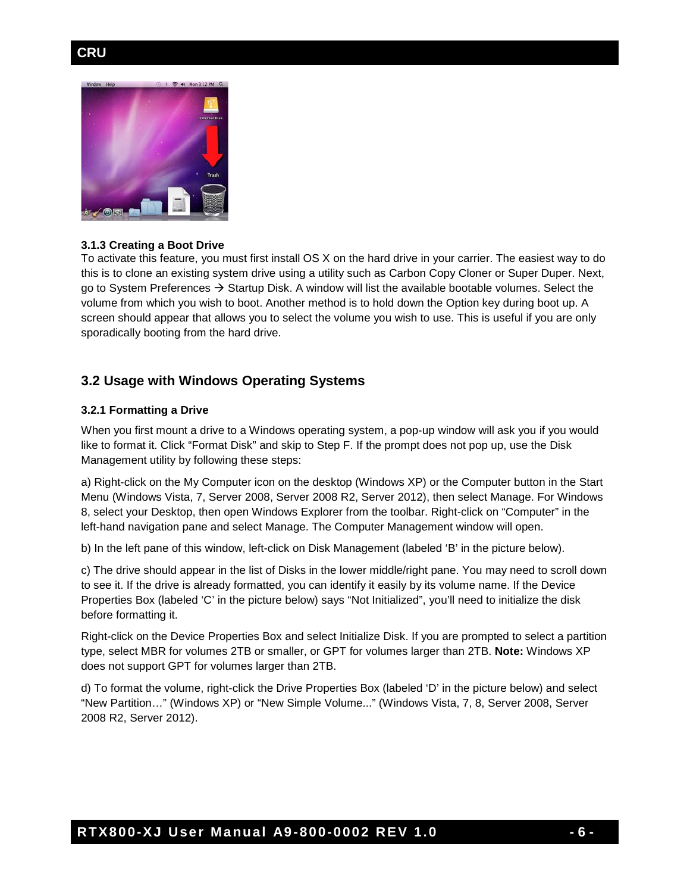### **CRU**



#### **3.1.3 Creating a Boot Drive**

To activate this feature, you must first install OS X on the hard drive in your carrier. The easiest way to do this is to clone an existing system drive using a utility such as Carbon Copy Cloner or Super Duper. Next, go to System Preferences  $\rightarrow$  Startup Disk. A window will list the available bootable volumes. Select the volume from which you wish to boot. Another method is to hold down the Option key during boot up. A screen should appear that allows you to select the volume you wish to use. This is useful if you are only sporadically booting from the hard drive.

#### **3.2 Usage with Windows Operating Systems**

#### **3.2.1 Formatting a Drive**

When you first mount a drive to a Windows operating system, a pop-up window will ask you if you would like to format it. Click "Format Disk" and skip to Step F. If the prompt does not pop up, use the Disk Management utility by following these steps:

a) Right-click on the My Computer icon on the desktop (Windows XP) or the Computer button in the Start Menu (Windows Vista, 7, Server 2008, Server 2008 R2, Server 2012), then select Manage. For Windows 8, select your Desktop, then open Windows Explorer from the toolbar. Right-click on "Computer" in the left-hand navigation pane and select Manage. The Computer Management window will open.

b) In the left pane of this window, left-click on Disk Management (labeled 'B' in the picture below).

c) The drive should appear in the list of Disks in the lower middle/right pane. You may need to scroll down to see it. If the drive is already formatted, you can identify it easily by its volume name. If the Device Properties Box (labeled 'C' in the picture below) says "Not Initialized", you'll need to initialize the disk before formatting it.

Right-click on the Device Properties Box and select Initialize Disk. If you are prompted to select a partition type, select MBR for volumes 2TB or smaller, or GPT for volumes larger than 2TB. **Note:** Windows XP does not support GPT for volumes larger than 2TB.

d) To format the volume, right-click the Drive Properties Box (labeled 'D' in the picture below) and select "New Partition…" (Windows XP) or "New Simple Volume..." (Windows Vista, 7, 8, Server 2008, Server 2008 R2, Server 2012).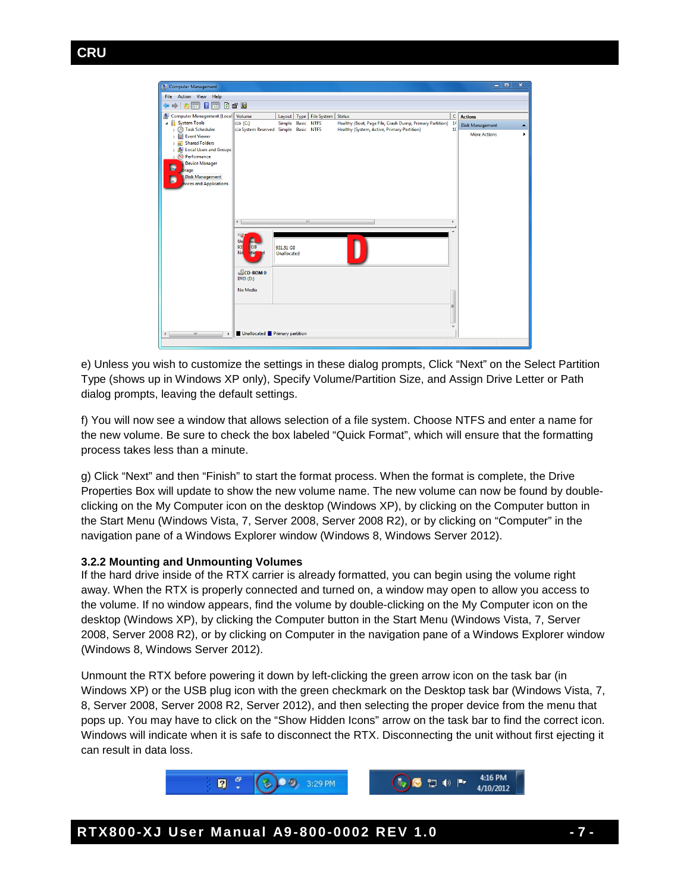

e) Unless you wish to customize the settings in these dialog prompts, Click "Next" on the Select Partition Type (shows up in Windows XP only), Specify Volume/Partition Size, and Assign Drive Letter or Path dialog prompts, leaving the default settings.

f) You will now see a window that allows selection of a file system. Choose NTFS and enter a name for the new volume. Be sure to check the box labeled "Quick Format", which will ensure that the formatting process takes less than a minute.

g) Click "Next" and then "Finish" to start the format process. When the format is complete, the Drive Properties Box will update to show the new volume name. The new volume can now be found by doubleclicking on the My Computer icon on the desktop (Windows XP), by clicking on the Computer button in the Start Menu (Windows Vista, 7, Server 2008, Server 2008 R2), or by clicking on "Computer" in the navigation pane of a Windows Explorer window (Windows 8, Windows Server 2012).

#### **3.2.2 Mounting and Unmounting Volumes**

If the hard drive inside of the RTX carrier is already formatted, you can begin using the volume right away. When the RTX is properly connected and turned on, a window may open to allow you access to the volume. If no window appears, find the volume by double-clicking on the My Computer icon on the desktop (Windows XP), by clicking the Computer button in the Start Menu (Windows Vista, 7, Server 2008, Server 2008 R2), or by clicking on Computer in the navigation pane of a Windows Explorer window (Windows 8, Windows Server 2012).

Unmount the RTX before powering it down by left-clicking the green arrow icon on the task bar (in Windows XP) or the USB plug icon with the green checkmark on the Desktop task bar (Windows Vista, 7, 8, Server 2008, Server 2008 R2, Server 2012), and then selecting the proper device from the menu that pops up. You may have to click on the "Show Hidden Icons" arrow on the task bar to find the correct icon. Windows will indicate when it is safe to disconnect the RTX. Disconnecting the unit without first ejecting it can result in data loss.

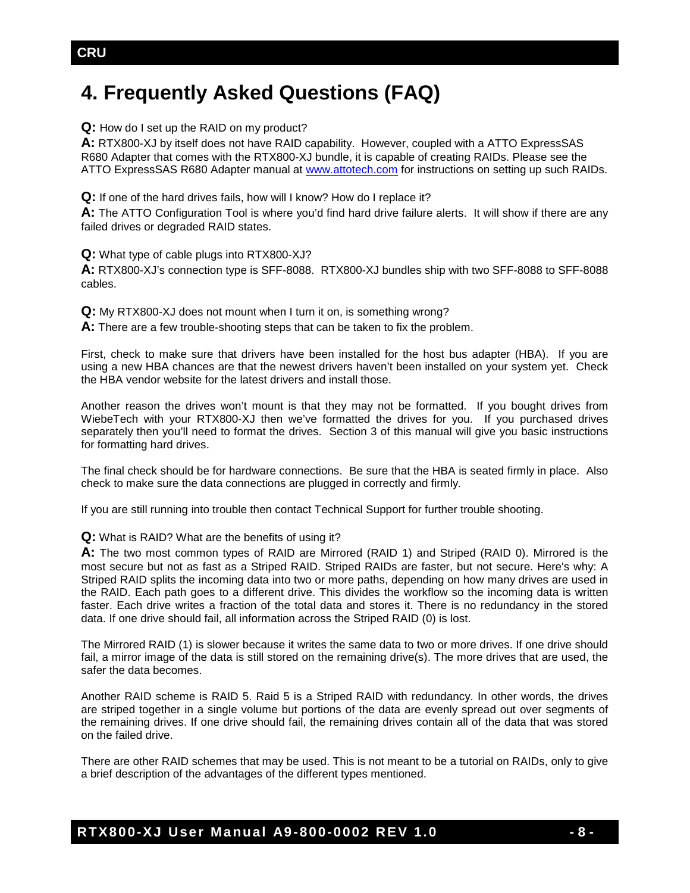# **4. Frequently Asked Questions (FAQ)**

**Q:** How do I set up the RAID on my product?

**A:** RTX800-XJ by itself does not have RAID capability. However, coupled with a ATTO ExpressSAS R680 Adapter that comes with the RTX800-XJ bundle, it is capable of creating RAIDs. Please see the ATTO ExpressSAS R680 Adapter manual at [www.attotech.com](http://www.attotech.com/) for instructions on setting up such RAIDs.

**Q:** If one of the hard drives fails, how will I know? How do I replace it?

**A:** The ATTO Configuration Tool is where you'd find hard drive failure alerts. It will show if there are any failed drives or degraded RAID states.

**Q:** What type of cable plugs into RTX800-XJ?

**A:** RTX800-XJ's connection type is SFF-8088. RTX800-XJ bundles ship with two SFF-8088 to SFF-8088 cables.

**Q:** My RTX800-XJ does not mount when I turn it on, is something wrong?

**A:** There are a few trouble-shooting steps that can be taken to fix the problem.

First, check to make sure that drivers have been installed for the host bus adapter (HBA). If you are using a new HBA chances are that the newest drivers haven't been installed on your system yet. Check the HBA vendor website for the latest drivers and install those.

Another reason the drives won't mount is that they may not be formatted. If you bought drives from WiebeTech with your RTX800-XJ then we've formatted the drives for you. If you purchased drives separately then you'll need to format the drives. Section 3 of this manual will give you basic instructions for formatting hard drives.

The final check should be for hardware connections. Be sure that the HBA is seated firmly in place. Also check to make sure the data connections are plugged in correctly and firmly.

If you are still running into trouble then contact Technical Support for further trouble shooting.

**Q:** What is RAID? What are the benefits of using it?

**A:** The two most common types of RAID are Mirrored (RAID 1) and Striped (RAID 0). Mirrored is the most secure but not as fast as a Striped RAID. Striped RAIDs are faster, but not secure. Here's why: A Striped RAID splits the incoming data into two or more paths, depending on how many drives are used in the RAID. Each path goes to a different drive. This divides the workflow so the incoming data is written faster. Each drive writes a fraction of the total data and stores it. There is no redundancy in the stored data. If one drive should fail, all information across the Striped RAID (0) is lost.

The Mirrored RAID (1) is slower because it writes the same data to two or more drives. If one drive should fail, a mirror image of the data is still stored on the remaining drive(s). The more drives that are used, the safer the data becomes.

Another RAID scheme is RAID 5. Raid 5 is a Striped RAID with redundancy. In other words, the drives are striped together in a single volume but portions of the data are evenly spread out over segments of the remaining drives. If one drive should fail, the remaining drives contain all of the data that was stored on the failed drive.

There are other RAID schemes that may be used. This is not meant to be a tutorial on RAIDs, only to give a brief description of the advantages of the different types mentioned.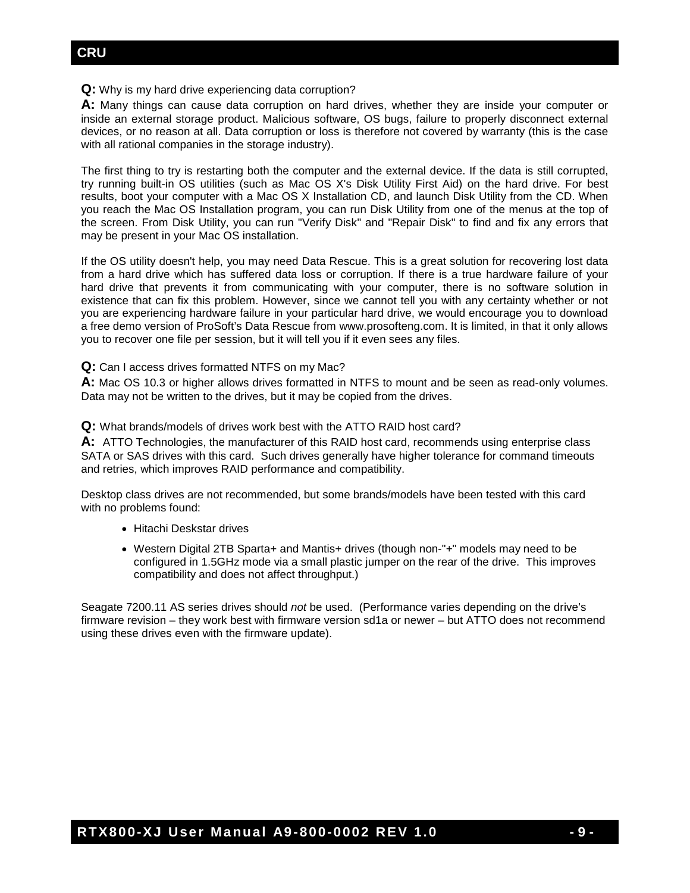### **CRU**

#### **Q:** Why is my hard drive experiencing data corruption?

**A:** Many things can cause data corruption on hard drives, whether they are inside your computer or inside an external storage product. Malicious software, OS bugs, failure to properly disconnect external devices, or no reason at all. Data corruption or loss is therefore not covered by warranty (this is the case with all rational companies in the storage industry).

The first thing to try is restarting both the computer and the external device. If the data is still corrupted, try running built-in OS utilities (such as Mac OS X's Disk Utility First Aid) on the hard drive. For best results, boot your computer with a Mac OS X Installation CD, and launch Disk Utility from the CD. When you reach the Mac OS Installation program, you can run Disk Utility from one of the menus at the top of the screen. From Disk Utility, you can run "Verify Disk" and "Repair Disk" to find and fix any errors that may be present in your Mac OS installation.

If the OS utility doesn't help, you may need Data Rescue. This is a great solution for recovering lost data from a hard drive which has suffered data loss or corruption. If there is a true hardware failure of your hard drive that prevents it from communicating with your computer, there is no software solution in existence that can fix this problem. However, since we cannot tell you with any certainty whether or not you are experiencing hardware failure in your particular hard drive, we would encourage you to download a free demo version of ProSoft's Data Rescue from www.prosofteng.com. It is limited, in that it only allows you to recover one file per session, but it will tell you if it even sees any files.

**Q:** Can I access drives formatted NTFS on my Mac?

**A:** Mac OS 10.3 or higher allows drives formatted in NTFS to mount and be seen as read-only volumes. Data may not be written to the drives, but it may be copied from the drives.

**Q:** What brands/models of drives work best with the ATTO RAID host card?

**A:** ATTO Technologies, the manufacturer of this RAID host card, recommends using enterprise class SATA or SAS drives with this card. Such drives generally have higher tolerance for command timeouts and retries, which improves RAID performance and compatibility.

Desktop class drives are not recommended, but some brands/models have been tested with this card with no problems found:

- Hitachi Deskstar drives
- Western Digital 2TB Sparta+ and Mantis+ drives (though non-"+" models may need to be configured in 1.5GHz mode via a small plastic jumper on the rear of the drive. This improves compatibility and does not affect throughput.)

Seagate 7200.11 AS series drives should *not* be used. (Performance varies depending on the drive's firmware revision – they work best with firmware version sd1a or newer – but ATTO does not recommend using these drives even with the firmware update).